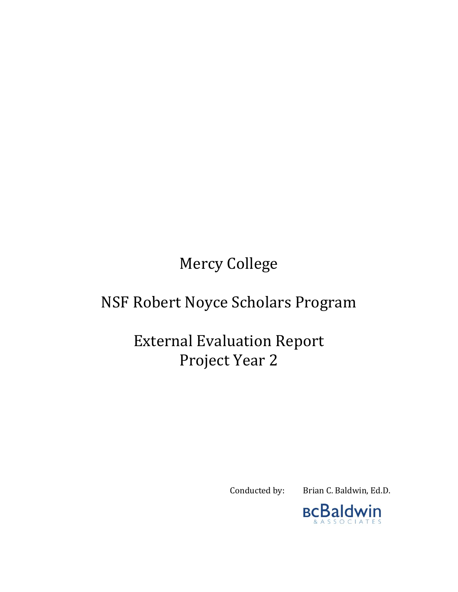Mercy College

# NSF Robert Noyce Scholars Program

# External Evaluation Report Project Year 2

Conducted by: Brian C. Baldwin, Ed.D.

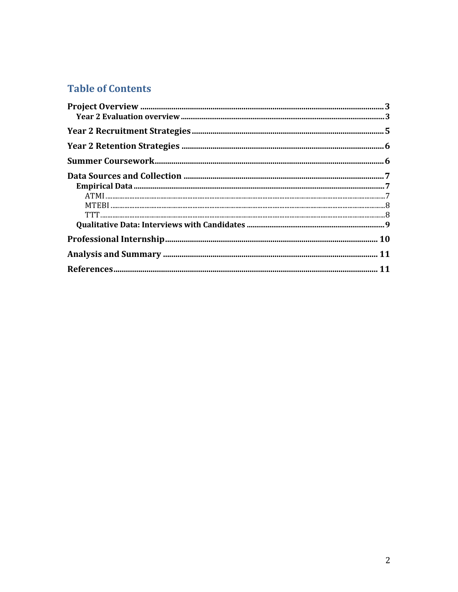## **Table of Contents**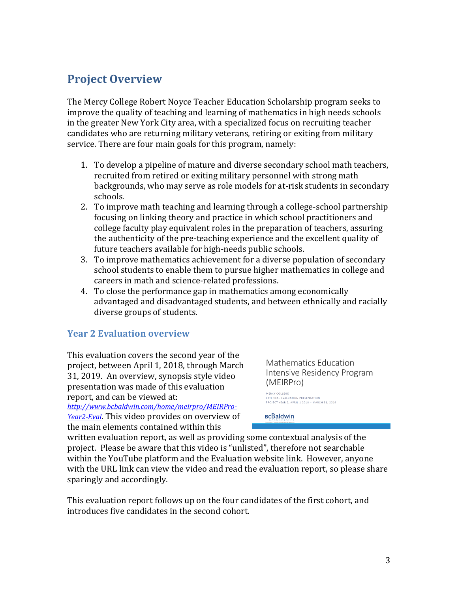## <span id="page-2-0"></span>**Project Overview**

The Mercy College Robert Noyce Teacher Education Scholarship program seeks to improve the quality of teaching and learning of mathematics in high needs schools in the greater New York City area, with a specialized focus on recruiting teacher candidates who are returning military veterans, retiring or exiting from military service. There are four main goals for this program, namely:

- 1. To develop a pipeline of mature and diverse secondary school math teachers, recruited from retired or exiting military personnel with strong math backgrounds, who may serve as role models for at-risk students in secondary schools.
- 2. To improve math teaching and learning through a college-school partnership focusing on linking theory and practice in which school practitioners and college faculty play equivalent roles in the preparation of teachers, assuring the authenticity of the pre-teaching experience and the excellent quality of future teachers available for high-needs public schools.
- 3. To improve mathematics achievement for a diverse population of secondary school students to enable them to pursue higher mathematics in college and careers in math and science-related professions.
- 4. To close the performance gap in mathematics among economically advantaged and disadvantaged students, and between ethnically and racially diverse groups of students.

#### <span id="page-2-1"></span>**Year 2 Evaluation overview**

This evaluation covers the second year of the project, between April 1, 2018, through March 31, 2019. An overview, synopsis style video presentation was made of this evaluation report, and can be viewed at: *[http://www.bcbaldwin.com/home/meirpro/MEIRPro-](http://www.bcbaldwin.com/home/meirpro/MEIRPro-Year2-Eval)[Year2-Eval](http://www.bcbaldwin.com/home/meirpro/MEIRPro-Year2-Eval)*. This video provides on overview of

the main elements contained within this

Mathematics Education Intensive Residency Program (MEIRPro)

MERCY COLLEGE EXTERNAL EVALUATION PRESENTATION<br>PROJECT YEAR 2. APRIL 1 2018 - MARCH 31. 2019

**BCBaldwin** 

written evaluation report, as well as providing some contextual analysis of the project. Please be aware that this video is "unlisted", therefore not searchable within the YouTube platform and the Evaluation website link. However, anyone with the URL link can view the video and read the evaluation report, so please share sparingly and accordingly.

This evaluation report follows up on the four candidates of the first cohort, and introduces five candidates in the second cohort.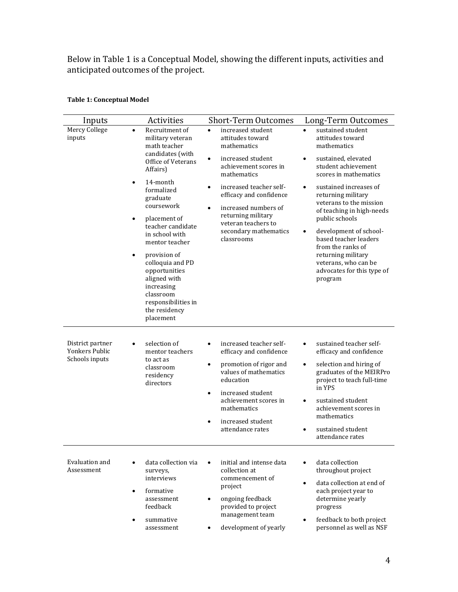Below in Table 1 is a Conceptual Model, showing the different inputs, activities and anticipated outcomes of the project.

| Inputs                                               | Activities                                                                                                                                                                                                                                                                                                                                                                                                           | <b>Short-Term Outcomes</b>                                                                                                                                                                                                                                                                                                 | Long-Term Outcomes                                                                                                                                                                                                                                                                                                                                                                                                                                                       |
|------------------------------------------------------|----------------------------------------------------------------------------------------------------------------------------------------------------------------------------------------------------------------------------------------------------------------------------------------------------------------------------------------------------------------------------------------------------------------------|----------------------------------------------------------------------------------------------------------------------------------------------------------------------------------------------------------------------------------------------------------------------------------------------------------------------------|--------------------------------------------------------------------------------------------------------------------------------------------------------------------------------------------------------------------------------------------------------------------------------------------------------------------------------------------------------------------------------------------------------------------------------------------------------------------------|
| Mercy College<br>inputs                              | Recruitment of<br>$\bullet$<br>military veteran<br>math teacher<br>candidates (with<br>Office of Veterans<br>Affairs)<br>14-month<br>$\bullet$<br>formalized<br>graduate<br>coursework<br>placement of<br>teacher candidate<br>in school with<br>mentor teacher<br>provision of<br>colloquia and PD<br>opportunities<br>aligned with<br>increasing<br>classroom<br>responsibilities in<br>the residency<br>placement | increased student<br>$\bullet$<br>attitudes toward<br>mathematics<br>increased student<br>$\bullet$<br>achievement scores in<br>mathematics<br>increased teacher self-<br>efficacy and confidence<br>increased numbers of<br>$\bullet$<br>returning military<br>veteran teachers to<br>secondary mathematics<br>classrooms | sustained student<br>$\bullet$<br>attitudes toward<br>mathematics<br>sustained, elevated<br>$\bullet$<br>student achievement<br>scores in mathematics<br>sustained increases of<br>$\bullet$<br>returning military<br>veterans to the mission<br>of teaching in high-needs<br>public schools<br>development of school-<br>$\bullet$<br>based teacher leaders<br>from the ranks of<br>returning military<br>veterans, who can be<br>advocates for this type of<br>program |
| District partner<br>Yonkers Public<br>Schools inputs | selection of<br>mentor teachers<br>to act as<br>classroom<br>residency<br>directors                                                                                                                                                                                                                                                                                                                                  | increased teacher self-<br>efficacy and confidence<br>promotion of rigor and<br>$\bullet$<br>values of mathematics<br>education<br>increased student<br>$\bullet$<br>achievement scores in<br>mathematics<br>increased student<br>attendance rates                                                                         | sustained teacher self-<br>$\bullet$<br>efficacy and confidence<br>selection and hiring of<br>$\bullet$<br>graduates of the MEIRPro<br>project to teach full-time<br>in YPS<br>sustained student<br>$\bullet$<br>achievement scores in<br>mathematics<br>sustained student<br>attendance rates                                                                                                                                                                           |
| Evaluation and<br>Assessment                         | data collection via<br>surveys.<br>interviews<br>formative<br>$\bullet$<br>assessment<br>feedback                                                                                                                                                                                                                                                                                                                    | initial and intense data<br>collection at<br>commencement of<br>project<br>ongoing feedback<br>$\bullet$<br>provided to project<br>management team                                                                                                                                                                         | data collection<br>$\bullet$<br>throughout project<br>data collection at end of<br>$\bullet$<br>each project year to<br>determine yearly<br>progress                                                                                                                                                                                                                                                                                                                     |

development of yearly

 summative assessment

#### **Table 1: Conceptual Model**

 feedback to both project personnel as well as NSF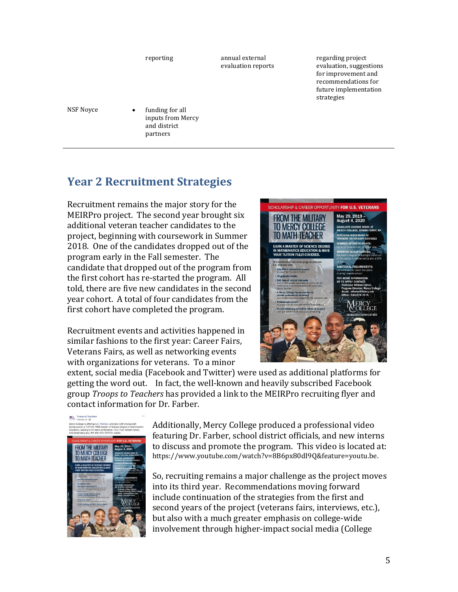reporting annual external evaluation reports regarding project evaluation, suggestions for improvement and recommendations for future implementation strategies NSF Noyce • funding for all inputs from Mercy and district partners

## <span id="page-4-0"></span>**Year 2 Recruitment Strategies**

Recruitment remains the major story for the MEIRPro project. The second year brought six additional veteran teacher candidates to the project, beginning with coursework in Summer 2018. One of the candidates dropped out of the program early in the Fall semester. The candidate that dropped out of the program from the first cohort has re-started the program. All told, there are five new candidates in the second year cohort. A total of four candidates from the first cohort have completed the program.

Recruitment events and activities happened in similar fashions to the first year: Career Fairs, Veterans Fairs, as well as networking events with organizations for veterans. To a minor



extent, social media (Facebook and Twitter) were used as additional platforms for getting the word out. In fact, the well-known and heavily subscribed Facebook group *Troops to Teachers* has provided a link to the MEIRPro recruiting flyer and contact information for Dr. Farber.



Additionally, Mercy College produced a professional video featuring Dr. Farber, school district officials, and new interns to discuss and promote the program. This video is located at: https://www.youtube.com/watch?v=8B6px80dI9Q&feature=youtu.be.

So, recruiting remains a major challenge as the project moves into its third year. Recommendations moving forward include continuation of the strategies from the first and second years of the project (veterans fairs, interviews, etc.), but also with a much greater emphasis on college-wide involvement through higher-impact social media (College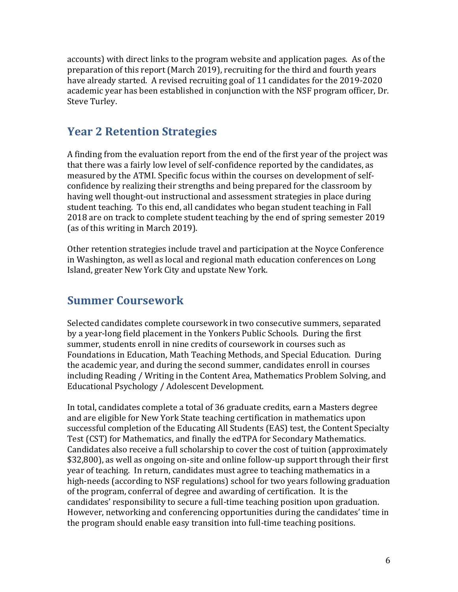accounts) with direct links to the program website and application pages. As of the preparation of this report (March 2019), recruiting for the third and fourth years have already started. A revised recruiting goal of 11 candidates for the 2019-2020 academic year has been established in conjunction with the NSF program officer, Dr. Steve Turley.

## <span id="page-5-0"></span>**Year 2 Retention Strategies**

A finding from the evaluation report from the end of the first year of the project was that there was a fairly low level of self-confidence reported by the candidates, as measured by the ATMI. Specific focus within the courses on development of selfconfidence by realizing their strengths and being prepared for the classroom by having well thought-out instructional and assessment strategies in place during student teaching. To this end, all candidates who began student teaching in Fall 2018 are on track to complete student teaching by the end of spring semester 2019 (as of this writing in March 2019).

Other retention strategies include travel and participation at the Noyce Conference in Washington, as well as local and regional math education conferences on Long Island, greater New York City and upstate New York.

## <span id="page-5-1"></span>**Summer Coursework**

Selected candidates complete coursework in two consecutive summers, separated by a year-long field placement in the Yonkers Public Schools. During the first summer, students enroll in nine credits of coursework in courses such as Foundations in Education, Math Teaching Methods, and Special Education. During the academic year, and during the second summer, candidates enroll in courses including Reading / Writing in the Content Area, Mathematics Problem Solving, and Educational Psychology / Adolescent Development.

In total, candidates complete a total of 36 graduate credits, earn a Masters degree and are eligible for New York State teaching certification in mathematics upon successful completion of the Educating All Students (EAS) test, the Content Specialty Test (CST) for Mathematics, and finally the edTPA for Secondary Mathematics. Candidates also receive a full scholarship to cover the cost of tuition (approximately \$32,800), as well as ongoing on-site and online follow-up support through their first year of teaching. In return, candidates must agree to teaching mathematics in a high-needs (according to NSF regulations) school for two years following graduation of the program, conferral of degree and awarding of certification. It is the candidates' responsibility to secure a full-time teaching position upon graduation. However, networking and conferencing opportunities during the candidates' time in the program should enable easy transition into full-time teaching positions.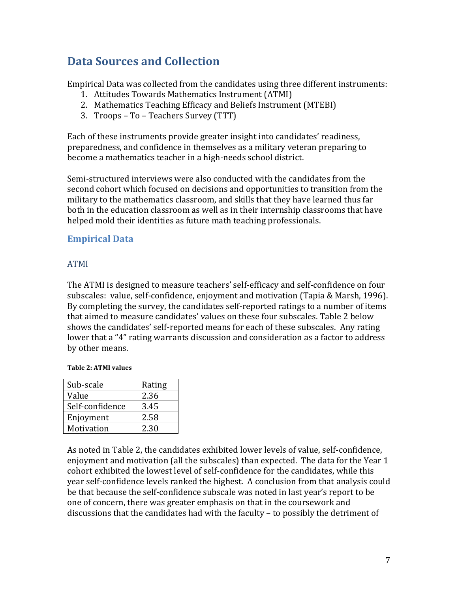## <span id="page-6-0"></span>**Data Sources and Collection**

Empirical Data was collected from the candidates using three different instruments:

- 1. Attitudes Towards Mathematics Instrument (ATMI)
- 2. Mathematics Teaching Efficacy and Beliefs Instrument (MTEBI)
- 3. Troops To Teachers Survey (TTT)

Each of these instruments provide greater insight into candidates' readiness, preparedness, and confidence in themselves as a military veteran preparing to become a mathematics teacher in a high-needs school district.

Semi-structured interviews were also conducted with the candidates from the second cohort which focused on decisions and opportunities to transition from the military to the mathematics classroom, and skills that they have learned thus far both in the education classroom as well as in their internship classrooms that have helped mold their identities as future math teaching professionals.

### <span id="page-6-1"></span>**Empirical Data**

#### <span id="page-6-2"></span>ATMI

The ATMI is designed to measure teachers' self-efficacy and self-confidence on four subscales: value, self-confidence, enjoyment and motivation (Tapia & Marsh, 1996). By completing the survey, the candidates self-reported ratings to a number of items that aimed to measure candidates' values on these four subscales. Table 2 below shows the candidates' self-reported means for each of these subscales. Any rating lower that a "4" rating warrants discussion and consideration as a factor to address by other means.

#### **Table 2: ATMI values**

| Sub-scale       | Rating |
|-----------------|--------|
| Value           | 2.36   |
| Self-confidence | 3.45   |
| Enjoyment       | 2.58   |
| Motivation      | 2.30   |

As noted in Table 2, the candidates exhibited lower levels of value, self-confidence, enjoyment and motivation (all the subscales) than expected. The data for the Year 1 cohort exhibited the lowest level of self-confidence for the candidates, while this year self-confidence levels ranked the highest. A conclusion from that analysis could be that because the self-confidence subscale was noted in last year's report to be one of concern, there was greater emphasis on that in the coursework and discussions that the candidates had with the faculty – to possibly the detriment of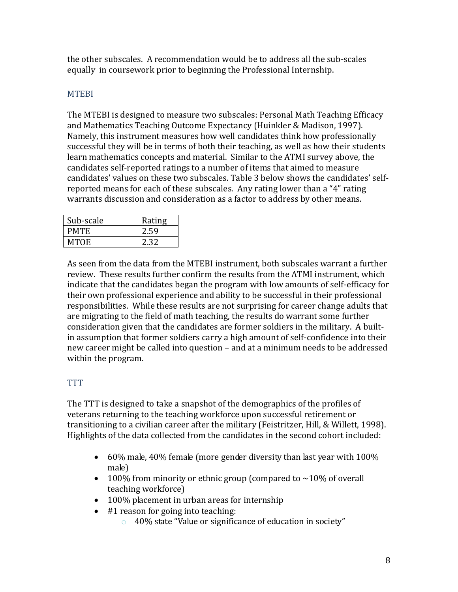the other subscales. A recommendation would be to address all the sub-scales equally in coursework prior to beginning the Professional Internship.

#### <span id="page-7-0"></span>MTEBI

The MTEBI is designed to measure two subscales: Personal Math Teaching Efficacy and Mathematics Teaching Outcome Expectancy (Huinkler & Madison, 1997). Namely, this instrument measures how well candidates think how professionally successful they will be in terms of both their teaching, as well as how their students learn mathematics concepts and material. Similar to the ATMI survey above, the candidates self-reported ratings to a number of items that aimed to measure candidates' values on these two subscales. Table 3 below shows the candidates' selfreported means for each of these subscales. Any rating lower than a "4" rating warrants discussion and consideration as a factor to address by other means.

| Sub-scale   | Rating |
|-------------|--------|
| <b>PMTE</b> | 2.59   |
| MTOE        | 2.32   |

As seen from the data from the MTEBI instrument, both subscales warrant a further review. These results further confirm the results from the ATMI instrument, which indicate that the candidates began the program with low amounts of self-efficacy for their own professional experience and ability to be successful in their professional responsibilities. While these results are not surprising for career change adults that are migrating to the field of math teaching, the results do warrant some further consideration given that the candidates are former soldiers in the military. A builtin assumption that former soldiers carry a high amount of self-confidence into their new career might be called into question – and at a minimum needs to be addressed within the program.

#### <span id="page-7-1"></span>TTT

The TTT is designed to take a snapshot of the demographics of the profiles of veterans returning to the teaching workforce upon successful retirement or transitioning to a civilian career after the military (Feistritzer, Hill, & Willett, 1998). Highlights of the data collected from the candidates in the second cohort included:

- $\bullet$  60% male, 40% female (more gender diversity than last year with 100% male)
- 100% from minority or ethnic group (compared to  $\sim$ 10% of overall teaching workforce)
- 100% placement in urban areas for internship
- #1 reason for going into teaching:
	- o 40% state "Value or significance of education in society"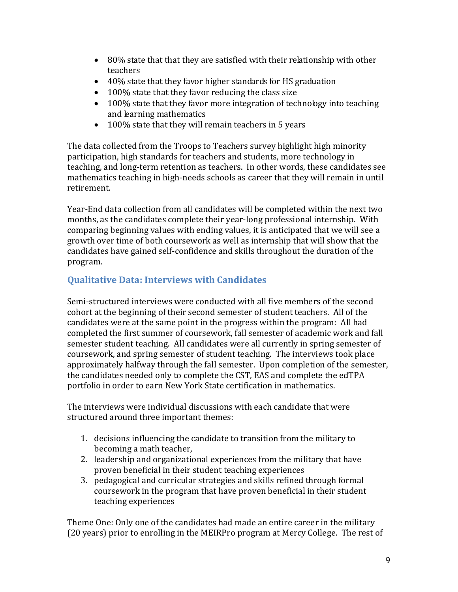- 80% state that that they are satisfied with their relationship with other teachers
- 40% state that they favor higher standards for HS graduation
- 100% state that they favor reducing the class size
- 100% state that they favor more integration of technology into teaching and learning mathematics
- 100% state that they will remain teachers in 5 years

The data collected from the Troops to Teachers survey highlight high minority participation, high standards for teachers and students, more technology in teaching, and long-term retention as teachers. In other words, these candidates see mathematics teaching in high-needs schools as career that they will remain in until retirement.

Year-End data collection from all candidates will be completed within the next two months, as the candidates complete their year-long professional internship. With comparing beginning values with ending values, it is anticipated that we will see a growth over time of both coursework as well as internship that will show that the candidates have gained self-confidence and skills throughout the duration of the program.

### <span id="page-8-0"></span>**Qualitative Data: Interviews with Candidates**

Semi-structured interviews were conducted with all five members of the second cohort at the beginning of their second semester of student teachers. All of the candidates were at the same point in the progress within the program: All had completed the first summer of coursework, fall semester of academic work and fall semester student teaching. All candidates were all currently in spring semester of coursework, and spring semester of student teaching. The interviews took place approximately halfway through the fall semester. Upon completion of the semester, the candidates needed only to complete the CST, EAS and complete the edTPA portfolio in order to earn New York State certification in mathematics.

The interviews were individual discussions with each candidate that were structured around three important themes:

- 1. decisions influencing the candidate to transition from the military to becoming a math teacher,
- 2. leadership and organizational experiences from the military that have proven beneficial in their student teaching experiences
- 3. pedagogical and curricular strategies and skills refined through formal coursework in the program that have proven beneficial in their student teaching experiences

Theme One: Only one of the candidates had made an entire career in the military (20 years) prior to enrolling in the MEIRPro program at Mercy College. The rest of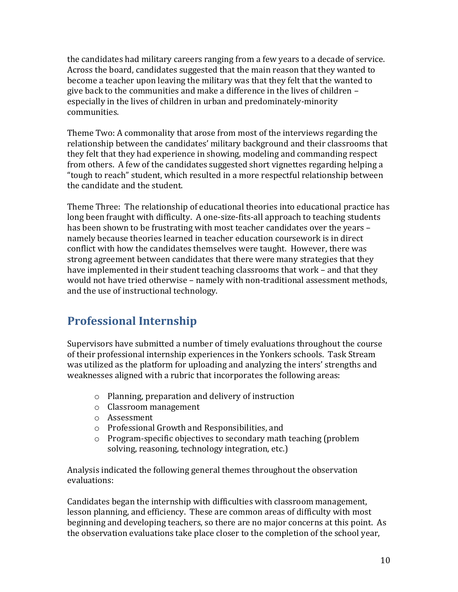the candidates had military careers ranging from a few years to a decade of service. Across the board, candidates suggested that the main reason that they wanted to become a teacher upon leaving the military was that they felt that the wanted to give back to the communities and make a difference in the lives of children – especially in the lives of children in urban and predominately-minority communities.

Theme Two: A commonality that arose from most of the interviews regarding the relationship between the candidates' military background and their classrooms that they felt that they had experience in showing, modeling and commanding respect from others. A few of the candidates suggested short vignettes regarding helping a "tough to reach" student, which resulted in a more respectful relationship between the candidate and the student.

Theme Three: The relationship of educational theories into educational practice has long been fraught with difficulty. A one-size-fits-all approach to teaching students has been shown to be frustrating with most teacher candidates over the years – namely because theories learned in teacher education coursework is in direct conflict with how the candidates themselves were taught. However, there was strong agreement between candidates that there were many strategies that they have implemented in their student teaching classrooms that work – and that they would not have tried otherwise – namely with non-traditional assessment methods, and the use of instructional technology.

## <span id="page-9-0"></span>**Professional Internship**

Supervisors have submitted a number of timely evaluations throughout the course of their professional internship experiences in the Yonkers schools. Task Stream was utilized as the platform for uploading and analyzing the inters' strengths and weaknesses aligned with a rubric that incorporates the following areas:

- o Planning, preparation and delivery of instruction
- o Classroom management
- o Assessment
- o Professional Growth and Responsibilities, and
- o Program-specific objectives to secondary math teaching (problem solving, reasoning, technology integration, etc.)

Analysis indicated the following general themes throughout the observation evaluations:

Candidates began the internship with difficulties with classroom management, lesson planning, and efficiency. These are common areas of difficulty with most beginning and developing teachers, so there are no major concerns at this point. As the observation evaluations take place closer to the completion of the school year,